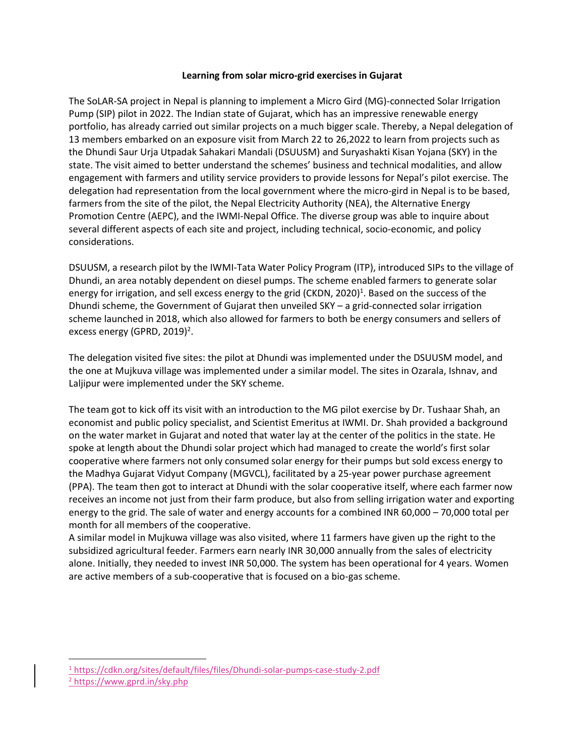## **Learning from solar micro-grid exercises in Gujarat**

The SoLAR-SA project in Nepal is planning to implement a Micro Gird (MG)-connected Solar Irrigation Pump (SIP) pilot in 2022. The Indian state of Gujarat, which has an impressive renewable energy portfolio, has already carried out similar projects on a much bigger scale. Thereby, a Nepal delegation of 13 members embarked on an exposure visit from March 22 to 26,2022 to learn from projects such as the Dhundi Saur Urja Utpadak Sahakari Mandali (DSUUSM) and Suryashakti Kisan Yojana (SKY) in the state. The visit aimed to better understand the schemes' business and technical modalities, and allow engagement with farmers and utility service providers to provide lessons for Nepal's pilot exercise. The delegation had representation from the local government where the micro-gird in Nepal is to be based, farmers from the site of the pilot, the Nepal Electricity Authority (NEA), the Alternative Energy Promotion Centre (AEPC), and the IWMI-Nepal Office. The diverse group was able to inquire about several different aspects of each site and project, including technical, socio-economic, and policy considerations.

DSUUSM, a research pilot by the IWMI-Tata Water Policy Program (ITP), introduced SIPs to the village of Dhundi, an area notably dependent on diesel pumps. The scheme enabled farmers to generate solar energy for irrigation, and sell excess energy to the grid (CKDN, 2020)<sup>1</sup>. Based on the success of the Dhundi scheme, the Government of Gujarat then unveiled SKY – a grid-connected solar irrigation scheme launched in 2018, which also allowed for farmers to both be energy consumers and sellers of excess energy (GPRD, 2019)<sup>2</sup>.

The delegation visited five sites: the pilot at Dhundi was implemented under the DSUUSM model, and the one at Mujkuva village was implemented under a similar model. The sites in Ozarala, Ishnav, and Laljipur were implemented under the SKY scheme.

The team got to kick off its visit with an introduction to the MG pilot exercise by Dr. Tushaar Shah, an economist and public policy specialist, and Scientist Emeritus at IWMI. Dr. Shah provided a background on the water market in Gujarat and noted that water lay at the center of the politics in the state. He spoke at length about the Dhundi solar project which had managed to create the world's first solar cooperative where farmers not only consumed solar energy for their pumps but sold excess energy to the Madhya Gujarat Vidyut Company (MGVCL), facilitated by a 25-year power purchase agreement (PPA). The team then got to interact at Dhundi with the solar cooperative itself, where each farmer now receives an income not just from their farm produce, but also from selling irrigation water and exporting energy to the grid. The sale of water and energy accounts for a combined INR 60,000 – 70,000 total per month for all members of the cooperative.

A similar model in Mujkuwa village was also visited, where 11 farmers have given up the right to the subsidized agricultural feeder. Farmers earn nearly INR 30,000 annually from the sales of electricity alone. Initially, they needed to invest INR 50,000. The system has been operational for 4 years. Women are active members of a sub-cooperative that is focused on a bio-gas scheme.

<sup>1</sup> <https://cdkn.org/sites/default/files/files/Dhundi-solar-pumps-case-study-2.pdf> <sup>2</sup> <https://www.gprd.in/sky.php>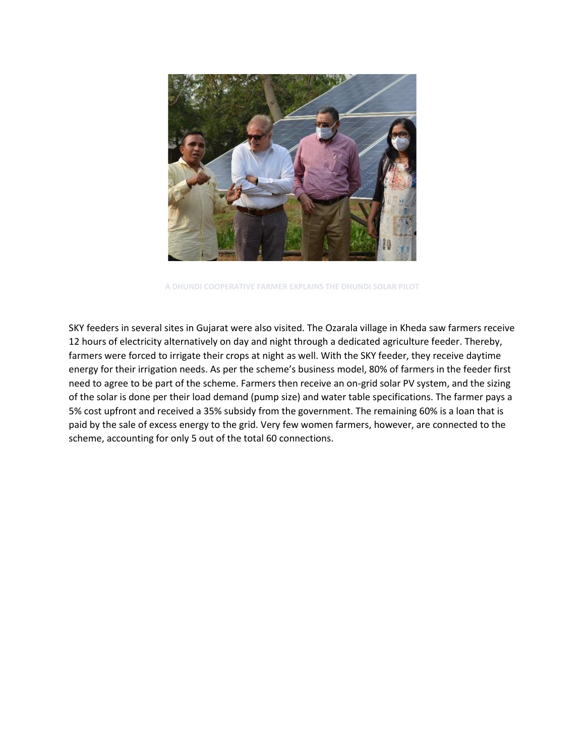

**A DHUNDI COOPERATIVE FARMER EXPLAINS THE DHUNDI SOLAR PILOT**

SKY feeders in several sites in Gujarat were also visited. The Ozarala village in Kheda saw farmers receive 12 hours of electricity alternatively on day and night through a dedicated agriculture feeder. Thereby, farmers were forced to irrigate their crops at night as well. With the SKY feeder, they receive daytime energy for their irrigation needs. As per the scheme's business model, 80% of farmers in the feeder first need to agree to be part of the scheme. Farmers then receive an on-grid solar PV system, and the sizing of the solar is done per their load demand (pump size) and water table specifications. The farmer pays a 5% cost upfront and received a 35% subsidy from the government. The remaining 60% is a loan that is paid by the sale of excess energy to the grid. Very few women farmers, however, are connected to the scheme, accounting for only 5 out of the total 60 connections.